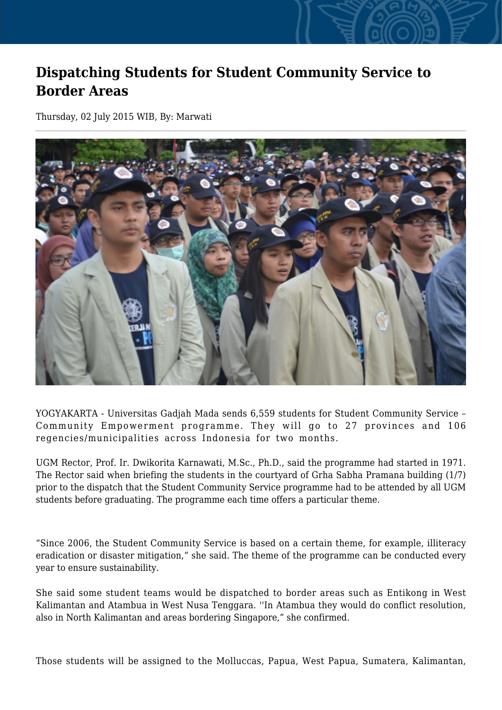## **Dispatching Students for Student Community Service to Border Areas**

Thursday, 02 July 2015 WIB, By: Marwati



YOGYAKARTA - Universitas Gadjah Mada sends 6,559 students for Student Community Service – Community Empowerment programme. They will go to 27 provinces and 106 regencies/municipalities across Indonesia for two months.

UGM Rector, Prof. Ir. Dwikorita Karnawati, M.Sc., Ph.D., said the programme had started in 1971. The Rector said when briefing the students in the courtyard of Grha Sabha Pramana building (1/7) prior to the dispatch that the Student Community Service programme had to be attended by all UGM students before graduating. The programme each time offers a particular theme.

"Since 2006, the Student Community Service is based on a certain theme, for example, illiteracy eradication or disaster mitigation," she said. The theme of the programme can be conducted every year to ensure sustainability.

She said some student teams would be dispatched to border areas such as Entikong in West Kalimantan and Atambua in West Nusa Tenggara. ''In Atambua they would do conflict resolution, also in North Kalimantan and areas bordering Singapore," she confirmed.

Those students will be assigned to the Molluccas, Papua, West Papua, Sumatera, Kalimantan,